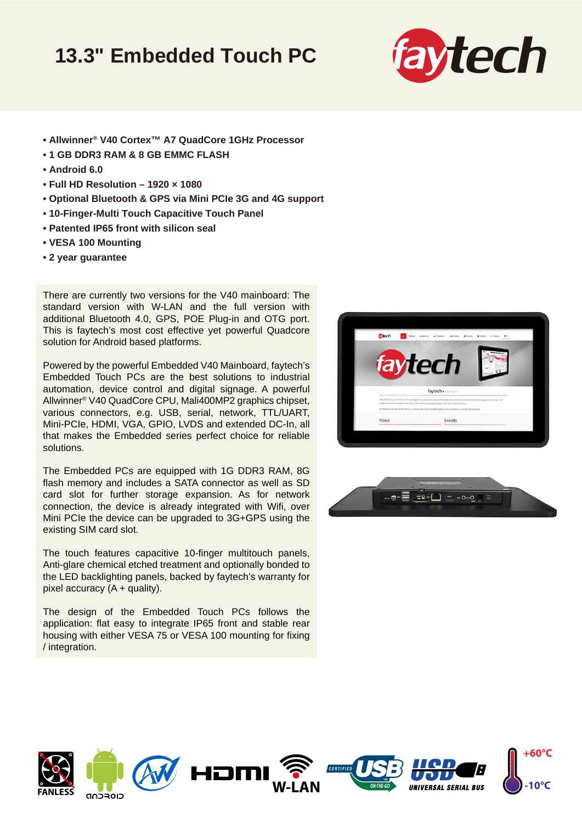## **13.3" Embedded Touch PC**



- **Allwinner® V40 Cortex™ A7 QuadCore 1GHz Processor**
- **1 GB DDR3 RAM & 8 GB EMMC FLASH**
- **Android 6.0**
- **Full HD Resolution 1920 × 1080**
- **Optional Bluetooth & GPS via Mini PCIe 3G and 4G support**
- **10-Finger-Multi Touch Capacitive Touch Panel**
- **Patented IP65 front with silicon seal**
- **VESA 100 Mounting**
- **2 year guarantee**

There are currently two versions for the V40 mainboard: The standard version with W-LAN and the full version with additional Bluetooth 4.0, GPS, POE Plug-in and OTG port. This is faytech's most cost effective yet powerful Quadcore solution for Android based platforms.

Powered by the powerful Embedded V40 Mainboard, faytech's Embedded Touch PCs are the best solutions to industrial automation, device control and digital signage. A powerful Allwinner® V40 QuadCore CPU, Mali400MP2 graphics chipset, various connectors, e.g. USB, serial, network, TTL/UART, Mini-PCIe, HDMI, VGA, GPIO, LVDS and extended DC-In, all that makes the Embedded series perfect choice for reliable solutions.

The Embedded PCs are equipped with 1G DDR3 RAM, 8G flash memory and includes a SATA connector as well as SD card slot for further storage expansion. As for network connection, the device is already integrated with Wifi, over Mini PCIe the device can be upgraded to 3G+GPS using the existing SIM card slot.

The touch features capacitive 10-finger multitouch panels, Anti-glare chemical etched treatment and optionally bonded to the LED backlighting panels, backed by faytech's warranty for pixel accuracy  $(A +$  quality).

The design of the Embedded Touch PCs follows the application: flat easy to integrate IP65 front and stable rear housing with either VESA 75 or VESA 100 mounting for fixing / integration.